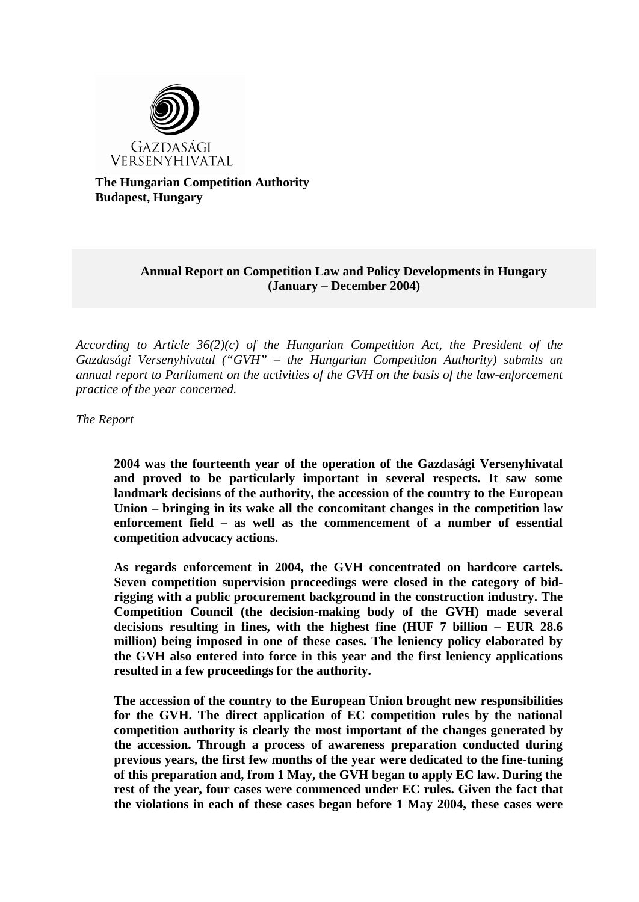

**The Hungarian Competition Authority Budapest, Hungary**

## **Annual Report on Competition Law and Policy Developments in Hungary (January – December 2004)**

*According to Article 36(2)(c) of the Hungarian Competition Act, the President of the Gazdasági Versenyhivatal ("GVH" – the Hungarian Competition Authority) submits an annual report to Parliament on the activities of the GVH on the basis of the law-enforcement practice of the year concerned.* 

*The Report*

**2004 was the fourteenth year of the operation of the Gazdasági Versenyhivatal and proved to be particularly important in several respects. It saw some landmark decisions of the authority, the accession of the country to the European Union – bringing in its wake all the concomitant changes in the competition law enforcement field – as well as the commencement of a number of essential competition advocacy actions.**

**As regards enforcement in 2004, the GVH concentrated on hardcore cartels. Seven competition supervision proceedings were closed in the category of bidrigging with a public procurement background in the construction industry. The Competition Council (the decision-making body of the GVH) made several decisions resulting in fines, with the highest fine (HUF 7 billion – EUR 28.6 million) being imposed in one of these cases. The leniency policy elaborated by the GVH also entered into force in this year and the first leniency applications resulted in a few proceedings for the authority.** 

**The accession of the country to the European Union brought new responsibilities for the GVH. The direct application of EC competition rules by the national competition authority is clearly the most important of the changes generated by the accession. Through a process of awareness preparation conducted during previous years, the first few months of the year were dedicated to the fine-tuning of this preparation and, from 1 May, the GVH began to apply EC law. During the rest of the year, four cases were commenced under EC rules. Given the fact that the violations in each of these cases began before 1 May 2004, these cases were**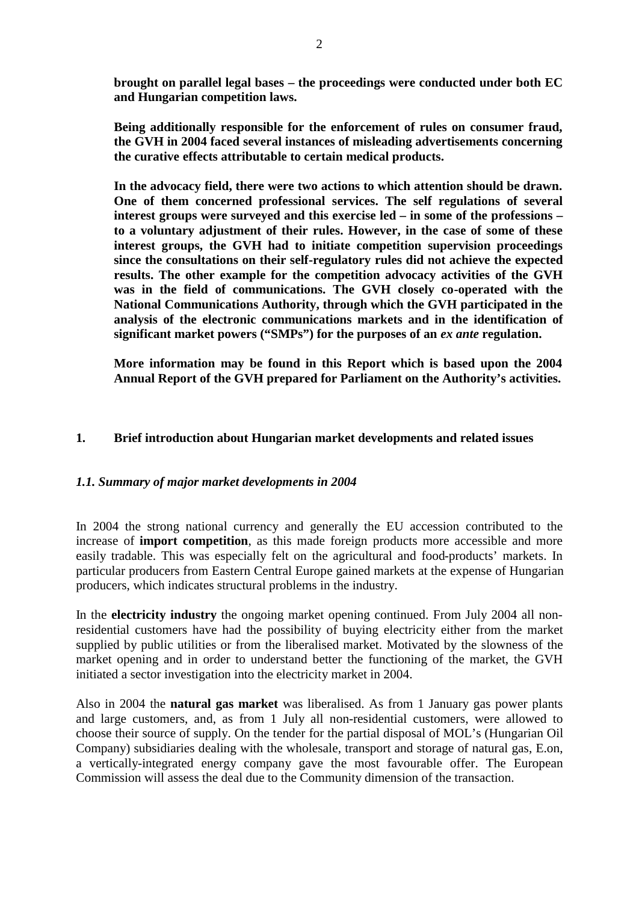**brought on parallel legal bases – the proceedings were conducted under both EC and Hungarian competition laws.**

**Being additionally responsible for the enforcement of rules on consumer fraud, the GVH in 2004 faced several instances of misleading advertisements concerning the curative effects attributable to certain medical products.**

**In the advocacy field, there were two actions to which attention should be drawn. One of them concerned professional services. The self regulations of several interest groups were surveyed and this exercise led – in some of the professions – to a voluntary adjustment of their rules. However, in the case of some of these interest groups, the GVH had to initiate competition supervision proceedings since the consultations on their self-regulatory rules did not achieve the expected results. The other example for the competition advocacy activities of the GVH was in the field of communications. The GVH closely co-operated with the National Communications Authority, through which the GVH participated in the analysis of the electronic communications markets and in the identification of significant market powers ("SMPs") for the purposes of an** *ex ante* **regulation.**

**More information may be found in this Report which is based upon the 2004 Annual Report of the GVH prepared for Parliament on the Authority's activities.** 

## **1. Brief introduction about Hungarian market developments and related issues**

## *1.1. Summary of major market developments in 2004*

In 2004 the strong national currency and generally the EU accession contributed to the increase of **import competition**, as this made foreign products more accessible and more easily tradable. This was especially felt on the agricultural and food-products' markets. In particular producers from Eastern Central Europe gained markets at the expense of Hungarian producers, which indicates structural problems in the industry.

In the **electricity industry** the ongoing market opening continued. From July 2004 all nonresidential customers have had the possibility of buying electricity either from the market supplied by public utilities or from the liberalised market. Motivated by the slowness of the market opening and in order to understand better the functioning of the market, the GVH initiated a sector investigation into the electricity market in 2004.

Also in 2004 the **natural gas market** was liberalised. As from 1 January gas power plants and large customers, and, as from 1 July all non-residential customers, were allowed to choose their source of supply. On the tender for the partial disposal of MOL's (Hungarian Oil Company) subsidiaries dealing with the wholesale, transport and storage of natural gas, E.on, a vertically-integrated energy company gave the most favourable offer. The European Commission will assess the deal due to the Community dimension of the transaction.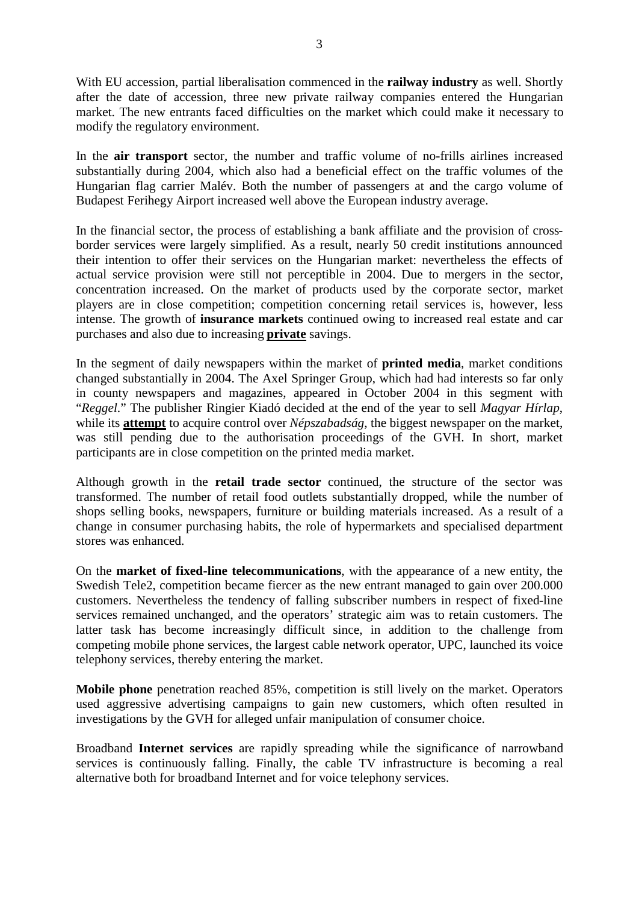With EU accession, partial liberalisation commenced in the **railway industry** as well. Shortly after the date of accession, three new private railway companies entered the Hungarian market. The new entrants faced difficulties on the market which could make it necessary to modify the regulatory environment.

In the **air transport** sector, the number and traffic volume of no-frills airlines increased substantially during 2004, which also had a beneficial effect on the traffic volumes of the Hungarian flag carrier Malév. Both the number of passengers at and the cargo volume of Budapest Ferihegy Airport increased well above the European industry average.

In the financial sector, the process of establishing a bank affiliate and the provision of crossborder services were largely simplified. As a result, nearly 50 credit institutions announced their intention to offer their services on the Hungarian market: nevertheless the effects of actual service provision were still not perceptible in 2004. Due to mergers in the sector, concentration increased. On the market of products used by the corporate sector, market players are in close competition; competition concerning retail services is, however, less intense. The growth of **insurance markets** continued owing to increased real estate and car purchases and also due to increasing **private** savings.

In the segment of daily newspapers within the market of **printed media**, market conditions changed substantially in 2004. The Axel Springer Group, which had had interests so far only in county newspapers and magazines, appeared in October 2004 in this segment with "*Reggel*." The publisher Ringier Kiadó decided at the end of the year to sell *Magyar Hírlap*, while its **attempt** to acquire control over *Népszabadság*, the biggest newspaper on the market, was still pending due to the authorisation proceedings of the GVH. In short, market participants are in close competition on the printed media market.

Although growth in the **retail trade sector** continued, the structure of the sector was transformed. The number of retail food outlets substantially dropped, while the number of shops selling books, newspapers, furniture or building materials increased. As a result of a change in consumer purchasing habits, the role of hypermarkets and specialised department stores was enhanced.

On the **market of fixed-line telecommunications**, with the appearance of a new entity, the Swedish Tele2, competition became fiercer as the new entrant managed to gain over 200.000 customers. Nevertheless the tendency of falling subscriber numbers in respect of fixed-line services remained unchanged, and the operators' strategic aim was to retain customers. The latter task has become increasingly difficult since, in addition to the challenge from competing mobile phone services, the largest cable network operator, UPC, launched its voice telephony services, thereby entering the market.

**Mobile phone** penetration reached 85%, competition is still lively on the market. Operators used aggressive advertising campaigns to gain new customers, which often resulted in investigations by the GVH for alleged unfair manipulation of consumer choice.

Broadband **Internet services** are rapidly spreading while the significance of narrowband services is continuously falling. Finally, the cable TV infrastructure is becoming a real alternative both for broadband Internet and for voice telephony services.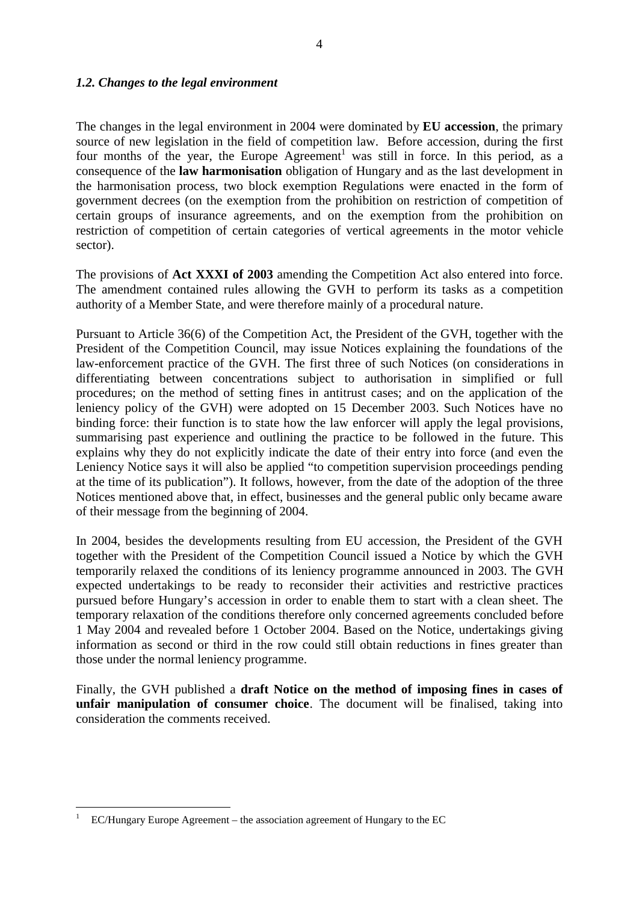## *1.2. Changes to the legal environment*

The changes in the legal environment in 2004 were dominated by **EU accession**, the primary source of new legislation in the field of competition law. Before accession, during the first four months of the year, the Europe Agreement<sup>1</sup> was still in force. In this period, as a consequence of the **law harmonisation** obligation of Hungary and as the last development in the harmonisation process, two block exemption Regulations were enacted in the form of government decrees (on the exemption from the prohibition on restriction of competition of certain groups of insurance agreements, and on the exemption from the prohibition on restriction of competition of certain categories of vertical agreements in the motor vehicle sector).

The provisions of **Act XXXI of 2003** amending the Competition Act also entered into force. The amendment contained rules allowing the GVH to perform its tasks as a competition authority of a Member State, and were therefore mainly of a procedural nature.

Pursuant to Article 36(6) of the Competition Act, the President of the GVH, together with the President of the Competition Council, may issue Notices explaining the foundations of the law-enforcement practice of the GVH. The first three of such Notices (on considerations in differentiating between concentrations subject to authorisation in simplified or full procedures; on the method of setting fines in antitrust cases; and on the application of the leniency policy of the GVH) were adopted on 15 December 2003. Such Notices have no binding force: their function is to state how the law enforcer will apply the legal provisions, summarising past experience and outlining the practice to be followed in the future. This explains why they do not explicitly indicate the date of their entry into force (and even the Leniency Notice says it will also be applied "to competition supervision proceedings pending at the time of its publication"). It follows, however, from the date of the adoption of the three Notices mentioned above that, in effect, businesses and the general public only became aware of their message from the beginning of 2004.

In 2004, besides the developments resulting from EU accession, the President of the GVH together with the President of the Competition Council issued a Notice by which the GVH temporarily relaxed the conditions of its leniency programme announced in 2003. The GVH expected undertakings to be ready to reconsider their activities and restrictive practices pursued before Hungary's accession in order to enable them to start with a clean sheet. The temporary relaxation of the conditions therefore only concerned agreements concluded before 1 May 2004 and revealed before 1 October 2004. Based on the Notice, undertakings giving information as second or third in the row could still obtain reductions in fines greater than those under the normal leniency programme.

Finally, the GVH published a **draft Notice on the method of imposing fines in cases of unfair manipulation of consumer choice**. The document will be finalised, taking into consideration the comments received.

<sup>1</sup> EC/Hungary Europe Agreement – the association agreement of Hungary to the EC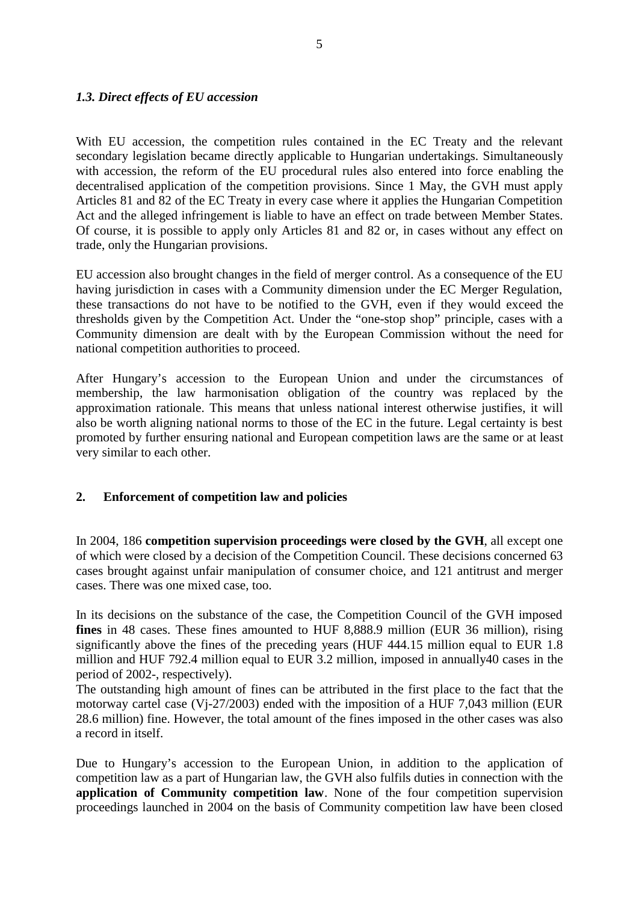## *1.3. Direct effects of EU accession*

With EU accession, the competition rules contained in the EC Treaty and the relevant secondary legislation became directly applicable to Hungarian undertakings. Simultaneously with accession, the reform of the EU procedural rules also entered into force enabling the decentralised application of the competition provisions. Since 1 May, the GVH must apply Articles 81 and 82 of the EC Treaty in every case where it applies the Hungarian Competition Act and the alleged infringement is liable to have an effect on trade between Member States. Of course, it is possible to apply only Articles 81 and 82 or, in cases without any effect on trade, only the Hungarian provisions.

EU accession also brought changes in the field of merger control. As a consequence of the EU having jurisdiction in cases with a Community dimension under the EC Merger Regulation, these transactions do not have to be notified to the GVH, even if they would exceed the thresholds given by the Competition Act. Under the "one-stop shop" principle, cases with a Community dimension are dealt with by the European Commission without the need for national competition authorities to proceed.

After Hungary's accession to the European Union and under the circumstances of membership, the law harmonisation obligation of the country was replaced by the approximation rationale. This means that unless national interest otherwise justifies, it will also be worth aligning national norms to those of the EC in the future. Legal certainty is best promoted by further ensuring national and European competition laws are the same or at least very similar to each other.

## **2. Enforcement of competition law and policies**

In 2004, 186 **competition supervision proceedings were closed by the GVH**, all except one of which were closed by a decision of the Competition Council. These decisions concerned 63 cases brought against unfair manipulation of consumer choice, and 121 antitrust and merger cases. There was one mixed case, too.

In its decisions on the substance of the case, the Competition Council of the GVH imposed **fines** in 48 cases. These fines amounted to HUF 8,888.9 million (EUR 36 million), rising significantly above the fines of the preceding years (HUF 444.15 million equal to EUR 1.8 million and HUF 792.4 million equal to EUR 3.2 million, imposed in annually40 cases in the period of 2002-, respectively).

The outstanding high amount of fines can be attributed in the first place to the fact that the motorway cartel case (Vj-27/2003) ended with the imposition of a HUF 7,043 million (EUR 28.6 million) fine. However, the total amount of the fines imposed in the other cases was also a record in itself.

Due to Hungary's accession to the European Union, in addition to the application of competition law as a part of Hungarian law, the GVH also fulfils duties in connection with the **application of Community competition law**. None of the four competition supervision proceedings launched in 2004 on the basis of Community competition law have been closed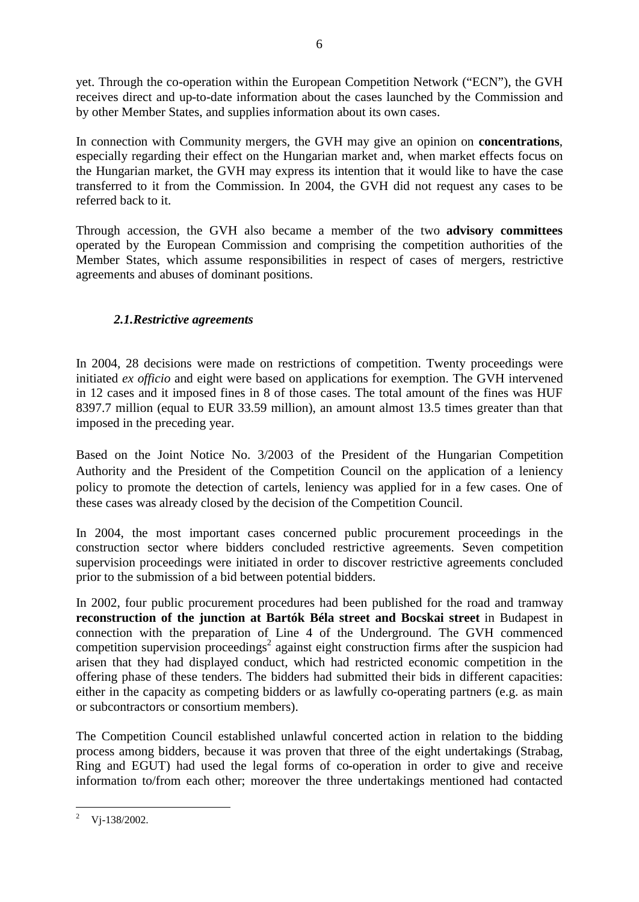yet. Through the co-operation within the European Competition Network ("ECN"), the GVH receives direct and up-to-date information about the cases launched by the Commission and by other Member States, and supplies information about its own cases.

In connection with Community mergers, the GVH may give an opinion on **concentrations**, especially regarding their effect on the Hungarian market and, when market effects focus on the Hungarian market, the GVH may express its intention that it would like to have the case transferred to it from the Commission. In 2004, the GVH did not request any cases to be referred back to it.

Through accession, the GVH also became a member of the two **advisory committees** operated by the European Commission and comprising the competition authorities of the Member States, which assume responsibilities in respect of cases of mergers, restrictive agreements and abuses of dominant positions.

# *2.1.Restrictive agreements*

In 2004, 28 decisions were made on restrictions of competition. Twenty proceedings were initiated *ex officio* and eight were based on applications for exemption. The GVH intervened in 12 cases and it imposed fines in 8 of those cases. The total amount of the fines was HUF 8397.7 million (equal to EUR 33.59 million), an amount almost 13.5 times greater than that imposed in the preceding year.

Based on the Joint Notice No. 3/2003 of the President of the Hungarian Competition Authority and the President of the Competition Council on the application of a leniency policy to promote the detection of cartels, leniency was applied for in a few cases. One of these cases was already closed by the decision of the Competition Council.

In 2004, the most important cases concerned public procurement proceedings in the construction sector where bidders concluded restrictive agreements. Seven competition supervision proceedings were initiated in order to discover restrictive agreements concluded prior to the submission of a bid between potential bidders.

In 2002, four public procurement procedures had been published for the road and tramway **reconstruction of the junction at Bartók Béla street and Bocskai street** in Budapest in connection with the preparation of Line 4 of the Underground. The GVH commenced competition supervision proceedings<sup>2</sup> against eight construction firms after the suspicion had arisen that they had displayed conduct, which had restricted economic competition in the offering phase of these tenders. The bidders had submitted their bids in different capacities: either in the capacity as competing bidders or as lawfully co-operating partners (e.g. as main or subcontractors or consortium members).

The Competition Council established unlawful concerted action in relation to the bidding process among bidders, because it was proven that three of the eight undertakings (Strabag, Ring and EGUT) had used the legal forms of co-operation in order to give and receive information to/from each other; moreover the three undertakings mentioned had contacted

 $\overline{a}$ <sup>2</sup> Vj-138/2002.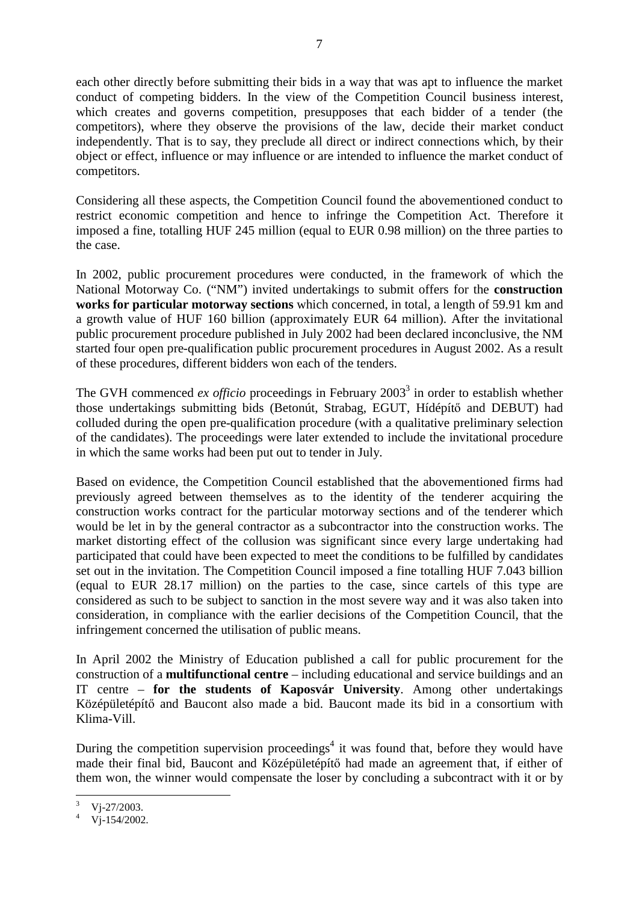each other directly before submitting their bids in a way that was apt to influence the market conduct of competing bidders. In the view of the Competition Council business interest, which creates and governs competition, presupposes that each bidder of a tender (the competitors), where they observe the provisions of the law, decide their market conduct independently. That is to say, they preclude all direct or indirect connections which, by their object or effect, influence or may influence or are intended to influence the market conduct of competitors.

Considering all these aspects, the Competition Council found the abovementioned conduct to restrict economic competition and hence to infringe the Competition Act. Therefore it imposed a fine, totalling HUF 245 million (equal to EUR 0.98 million) on the three parties to the case.

In 2002, public procurement procedures were conducted, in the framework of which the National Motorway Co. ("NM") invited undertakings to submit offers for the **construction works for particular motorway sections** which concerned, in total, a length of 59.91 km and a growth value of HUF 160 billion (approximately EUR 64 million). After the invitational public procurement procedure published in July 2002 had been declared inconclusive, the NM started four open pre-qualification public procurement procedures in August 2002. As a result of these procedures, different bidders won each of the tenders.

The GVH commenced *ex officio* proceedings in February 2003<sup>3</sup> in order to establish whether those undertakings submitting bids (Betonút, Strabag, EGUT, Hídépítő and DEBUT) had colluded during the open pre-qualification procedure (with a qualitative preliminary selection of the candidates). The proceedings were later extended to include the invitational procedure in which the same works had been put out to tender in July.

Based on evidence, the Competition Council established that the abovementioned firms had previously agreed between themselves as to the identity of the tenderer acquiring the construction works contract for the particular motorway sections and of the tenderer which would be let in by the general contractor as a subcontractor into the construction works. The market distorting effect of the collusion was significant since every large undertaking had participated that could have been expected to meet the conditions to be fulfilled by candidates set out in the invitation. The Competition Council imposed a fine totalling HUF 7.043 billion (equal to EUR 28.17 million) on the parties to the case, since cartels of this type are considered as such to be subject to sanction in the most severe way and it was also taken into consideration, in compliance with the earlier decisions of the Competition Council, that the infringement concerned the utilisation of public means.

In April 2002 the Ministry of Education published a call for public procurement for the construction of a **multifunctional centre** – including educational and service buildings and an IT centre – **for the students of Kaposvár University**. Among other undertakings Középületépítő and Baucont also made a bid. Baucont made its bid in a consortium with Klima-Vill.

During the competition supervision proceedings<sup>4</sup> it was found that, before they would have made their final bid, Baucont and Középületépítő had made an agreement that, if either of them won, the winner would compensate the loser by concluding a subcontract with it or by

Vj-27/2003.

 $V_1 - 154/2002$ .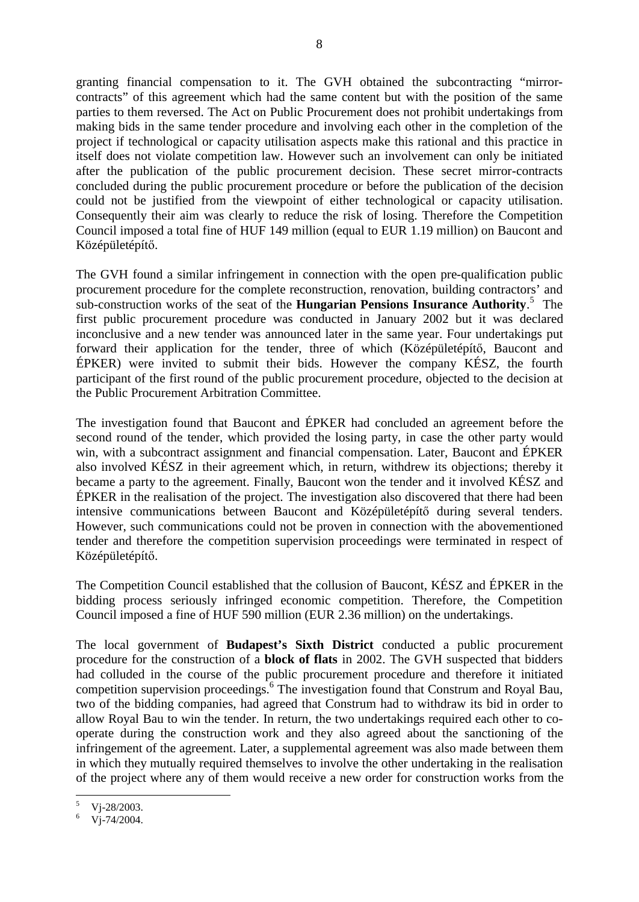granting financial compensation to it. The GVH obtained the subcontracting "mirrorcontracts" of this agreement which had the same content but with the position of the same parties to them reversed. The Act on Public Procurement does not prohibit undertakings from making bids in the same tender procedure and involving each other in the completion of the project if technological or capacity utilisation aspects make this rational and this practice in itself does not violate competition law. However such an involvement can only be initiated after the publication of the public procurement decision. These secret mirror-contracts concluded during the public procurement procedure or before the publication of the decision could not be justified from the viewpoint of either technological or capacity utilisation. Consequently their aim was clearly to reduce the risk of losing. Therefore the Competition Council imposed a total fine of HUF 149 million (equal to EUR 1.19 million) on Baucont and Középületépítő.

The GVH found a similar infringement in connection with the open pre-qualification public procurement procedure for the complete reconstruction, renovation, building contractors' and sub-construction works of the seat of the **Hungarian Pensions Insurance Authority**. 5 The first public procurement procedure was conducted in January 2002 but it was declared inconclusive and a new tender was announced later in the same year. Four undertakings put forward their application for the tender, three of which (Középületépítő, Baucont and ÉPKER) were invited to submit their bids. However the company KÉSZ, the fourth participant of the first round of the public procurement procedure, objected to the decision at the Public Procurement Arbitration Committee.

The investigation found that Baucont and ÉPKER had concluded an agreement before the second round of the tender, which provided the losing party, in case the other party would win, with a subcontract assignment and financial compensation. Later, Baucont and ÉPKER also involved KÉSZ in their agreement which, in return, withdrew its objections; thereby it became a party to the agreement. Finally, Baucont won the tender and it involved KÉSZ and ÉPKER in the realisation of the project. The investigation also discovered that there had been intensive communications between Baucont and Középületépítő during several tenders. However, such communications could not be proven in connection with the abovementioned tender and therefore the competition supervision proceedings were terminated in respect of Középületépítő.

The Competition Council established that the collusion of Baucont, KÉSZ and ÉPKER in the bidding process seriously infringed economic competition. Therefore, the Competition Council imposed a fine of HUF 590 million (EUR 2.36 million) on the undertakings.

The local government of **Budapest's Sixth District** conducted a public procurement procedure for the construction of a **block of flats** in 2002. The GVH suspected that bidders had colluded in the course of the public procurement procedure and therefore it initiated competition supervision proceedings.<sup>6</sup> The investigation found that Construm and Royal Bau, two of the bidding companies, had agreed that Construm had to withdraw its bid in order to allow Royal Bau to win the tender. In return, the two undertakings required each other to cooperate during the construction work and they also agreed about the sanctioning of the infringement of the agreement. Later, a supplemental agreement was also made between them in which they mutually required themselves to involve the other undertaking in the realisation of the project where any of them would receive a new order for construction works from the

Vj-28/2003.

 $V_1 - 74/2004$ .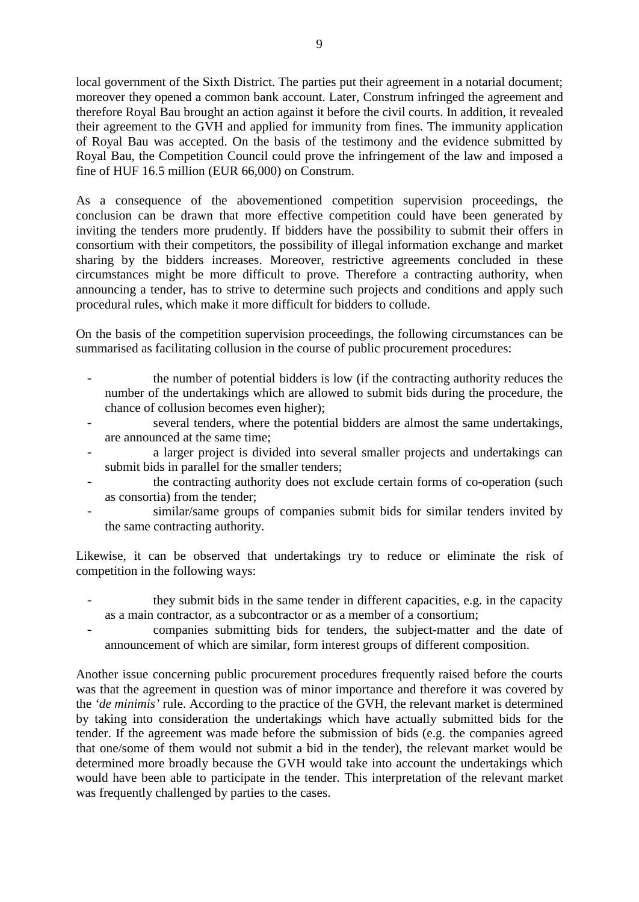local government of the Sixth District. The parties put their agreement in a notarial document; moreover they opened a common bank account. Later, Construm infringed the agreement and therefore Royal Bau brought an action against it before the civil courts. In addition, it revealed their agreement to the GVH and applied for immunity from fines. The immunity application of Royal Bau was accepted. On the basis of the testimony and the evidence submitted by Royal Bau, the Competition Council could prove the infringement of the law and imposed a fine of HUF 16.5 million (EUR 66,000) on Construm.

As a consequence of the abovementioned competition supervision proceedings, the conclusion can be drawn that more effective competition could have been generated by inviting the tenders more prudently. If bidders have the possibility to submit their offers in consortium with their competitors, the possibility of illegal information exchange and market sharing by the bidders increases. Moreover, restrictive agreements concluded in these circumstances might be more difficult to prove. Therefore a contracting authority, when announcing a tender, has to strive to determine such projects and conditions and apply such procedural rules, which make it more difficult for bidders to collude.

On the basis of the competition supervision proceedings, the following circumstances can be summarised as facilitating collusion in the course of public procurement procedures:

- the number of potential bidders is low (if the contracting authority reduces the number of the undertakings which are allowed to submit bids during the procedure, the chance of collusion becomes even higher);
- several tenders, where the potential bidders are almost the same undertakings, are announced at the same time;
- a larger project is divided into several smaller projects and undertakings can submit bids in parallel for the smaller tenders;
- the contracting authority does not exclude certain forms of co-operation (such as consortia) from the tender;
- similar/same groups of companies submit bids for similar tenders invited by the same contracting authority.

Likewise, it can be observed that undertakings try to reduce or eliminate the risk of competition in the following ways:

- they submit bids in the same tender in different capacities, e.g. in the capacity as a main contractor, as a subcontractor or as a member of a consortium;
- companies submitting bids for tenders, the subject-matter and the date of announcement of which are similar, form interest groups of different composition.

Another issue concerning public procurement procedures frequently raised before the courts was that the agreement in question was of minor importance and therefore it was covered by the *'de minimis'* rule. According to the practice of the GVH, the relevant market is determined by taking into consideration the undertakings which have actually submitted bids for the tender. If the agreement was made before the submission of bids (e.g. the companies agreed that one/some of them would not submit a bid in the tender), the relevant market would be determined more broadly because the GVH would take into account the undertakings which would have been able to participate in the tender. This interpretation of the relevant market was frequently challenged by parties to the cases.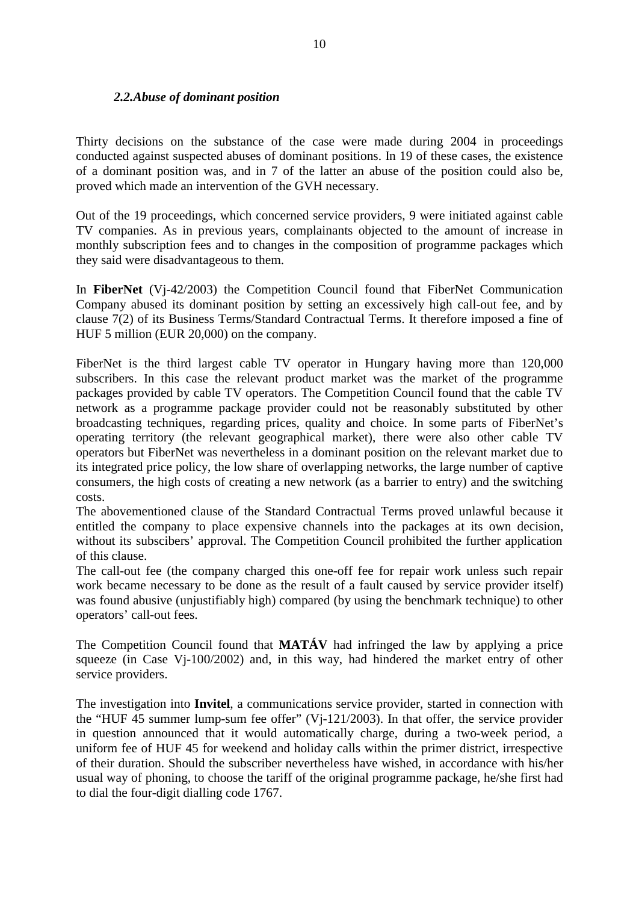## *2.2.Abuse of dominant position*

Thirty decisions on the substance of the case were made during 2004 in proceedings conducted against suspected abuses of dominant positions. In 19 of these cases, the existence of a dominant position was, and in 7 of the latter an abuse of the position could also be, proved which made an intervention of the GVH necessary.

Out of the 19 proceedings, which concerned service providers, 9 were initiated against cable TV companies. As in previous years, complainants objected to the amount of increase in monthly subscription fees and to changes in the composition of programme packages which they said were disadvantageous to them.

In **FiberNet** (Vj-42/2003) the Competition Council found that FiberNet Communication Company abused its dominant position by setting an excessively high call-out fee, and by clause 7(2) of its Business Terms/Standard Contractual Terms. It therefore imposed a fine of HUF 5 million (EUR 20,000) on the company.

FiberNet is the third largest cable TV operator in Hungary having more than 120,000 subscribers. In this case the relevant product market was the market of the programme packages provided by cable TV operators. The Competition Council found that the cable TV network as a programme package provider could not be reasonably substituted by other broadcasting techniques, regarding prices, quality and choice. In some parts of FiberNet's operating territory (the relevant geographical market), there were also other cable TV operators but FiberNet was nevertheless in a dominant position on the relevant market due to its integrated price policy, the low share of overlapping networks, the large number of captive consumers, the high costs of creating a new network (as a barrier to entry) and the switching costs.

The abovementioned clause of the Standard Contractual Terms proved unlawful because it entitled the company to place expensive channels into the packages at its own decision, without its subscibers' approval. The Competition Council prohibited the further application of this clause.

The call-out fee (the company charged this one-off fee for repair work unless such repair work became necessary to be done as the result of a fault caused by service provider itself) was found abusive (unjustifiably high) compared (by using the benchmark technique) to other operators' call-out fees.

The Competition Council found that **MATÁV** had infringed the law by applying a price squeeze (in Case Vj-100/2002) and, in this way, had hindered the market entry of other service providers.

The investigation into **Invitel**, a communications service provider, started in connection with the "HUF 45 summer lump-sum fee offer" (Vj-121/2003). In that offer, the service provider in question announced that it would automatically charge, during a two-week period, a uniform fee of HUF 45 for weekend and holiday calls within the primer district, irrespective of their duration. Should the subscriber nevertheless have wished, in accordance with his/her usual way of phoning, to choose the tariff of the original programme package, he/she first had to dial the four-digit dialling code 1767.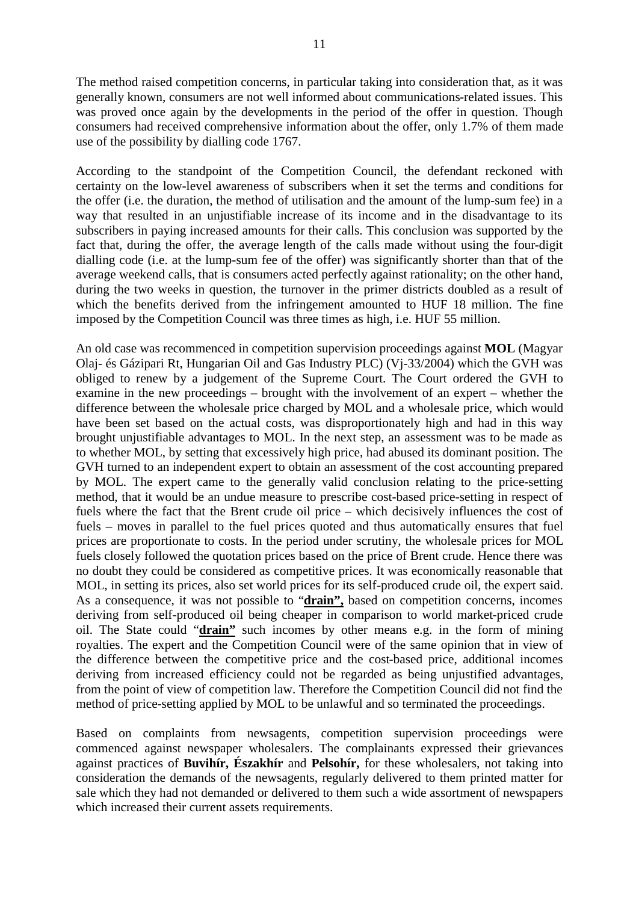The method raised competition concerns, in particular taking into consideration that, as it was generally known, consumers are not well informed about communications-related issues. This was proved once again by the developments in the period of the offer in question. Though consumers had received comprehensive information about the offer, only 1.7% of them made use of the possibility by dialling code 1767.

According to the standpoint of the Competition Council, the defendant reckoned with certainty on the low-level awareness of subscribers when it set the terms and conditions for the offer (i.e. the duration, the method of utilisation and the amount of the lump-sum fee) in a way that resulted in an unjustifiable increase of its income and in the disadvantage to its subscribers in paying increased amounts for their calls. This conclusion was supported by the fact that, during the offer, the average length of the calls made without using the four-digit dialling code (i.e. at the lump-sum fee of the offer) was significantly shorter than that of the average weekend calls, that is consumers acted perfectly against rationality; on the other hand, during the two weeks in question, the turnover in the primer districts doubled as a result of which the benefits derived from the infringement amounted to HUF 18 million. The fine imposed by the Competition Council was three times as high, i.e. HUF 55 million.

An old case was recommenced in competition supervision proceedings against **MOL** (Magyar Olaj- és Gázipari Rt, Hungarian Oil and Gas Industry PLC) (Vj-33/2004) which the GVH was obliged to renew by a judgement of the Supreme Court. The Court ordered the GVH to examine in the new proceedings – brought with the involvement of an expert – whether the difference between the wholesale price charged by MOL and a wholesale price, which would have been set based on the actual costs, was disproportionately high and had in this way brought unjustifiable advantages to MOL. In the next step, an assessment was to be made as to whether MOL, by setting that excessively high price, had abused its dominant position. The GVH turned to an independent expert to obtain an assessment of the cost accounting prepared by MOL. The expert came to the generally valid conclusion relating to the price-setting method, that it would be an undue measure to prescribe cost-based price-setting in respect of fuels where the fact that the Brent crude oil price – which decisively influences the cost of fuels – moves in parallel to the fuel prices quoted and thus automatically ensures that fuel prices are proportionate to costs. In the period under scrutiny, the wholesale prices for MOL fuels closely followed the quotation prices based on the price of Brent crude. Hence there was no doubt they could be considered as competitive prices. It was economically reasonable that MOL, in setting its prices, also set world prices for its self-produced crude oil, the expert said. As a consequence, it was not possible to "**drain",** based on competition concerns, incomes deriving from self-produced oil being cheaper in comparison to world market-priced crude oil. The State could "**drain"** such incomes by other means e.g. in the form of mining royalties. The expert and the Competition Council were of the same opinion that in view of the difference between the competitive price and the cost-based price, additional incomes deriving from increased efficiency could not be regarded as being unjustified advantages, from the point of view of competition law. Therefore the Competition Council did not find the method of price-setting applied by MOL to be unlawful and so terminated the proceedings.

Based on complaints from newsagents, competition supervision proceedings were commenced against newspaper wholesalers. The complainants expressed their grievances against practices of **Buvihír, Északhír** and **Pelsohír,** for these wholesalers, not taking into consideration the demands of the newsagents, regularly delivered to them printed matter for sale which they had not demanded or delivered to them such a wide assortment of newspapers which increased their current assets requirements.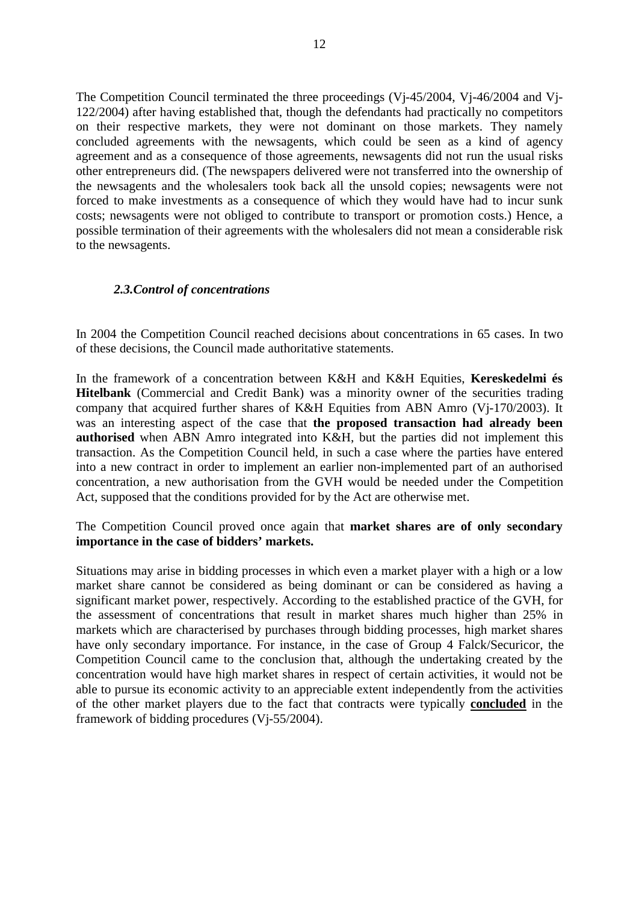The Competition Council terminated the three proceedings (Vj-45/2004, Vj-46/2004 and Vj-122/2004) after having established that, though the defendants had practically no competitors on their respective markets, they were not dominant on those markets. They namely concluded agreements with the newsagents, which could be seen as a kind of agency agreement and as a consequence of those agreements, newsagents did not run the usual risks other entrepreneurs did. (The newspapers delivered were not transferred into the ownership of the newsagents and the wholesalers took back all the unsold copies; newsagents were not forced to make investments as a consequence of which they would have had to incur sunk costs; newsagents were not obliged to contribute to transport or promotion costs.) Hence, a possible termination of their agreements with the wholesalers did not mean a considerable risk to the newsagents.

#### *2.3.Control of concentrations*

In 2004 the Competition Council reached decisions about concentrations in 65 cases. In two of these decisions, the Council made authoritative statements.

In the framework of a concentration between K&H and K&H Equities, **Kereskedelmi és Hitelbank** (Commercial and Credit Bank) was a minority owner of the securities trading company that acquired further shares of K&H Equities from ABN Amro (Vj-170/2003). It was an interesting aspect of the case that **the proposed transaction had already been authorised** when ABN Amro integrated into K&H, but the parties did not implement this transaction. As the Competition Council held, in such a case where the parties have entered into a new contract in order to implement an earlier non-implemented part of an authorised concentration, a new authorisation from the GVH would be needed under the Competition Act, supposed that the conditions provided for by the Act are otherwise met.

## The Competition Council proved once again that **market shares are of only secondary importance in the case of bidders' markets.**

Situations may arise in bidding processes in which even a market player with a high or a low market share cannot be considered as being dominant or can be considered as having a significant market power, respectively. According to the established practice of the GVH, for the assessment of concentrations that result in market shares much higher than 25% in markets which are characterised by purchases through bidding processes, high market shares have only secondary importance. For instance, in the case of Group 4 Falck/Securicor, the Competition Council came to the conclusion that, although the undertaking created by the concentration would have high market shares in respect of certain activities, it would not be able to pursue its economic activity to an appreciable extent independently from the activities of the other market players due to the fact that contracts were typically **concluded** in the framework of bidding procedures (Vj-55/2004).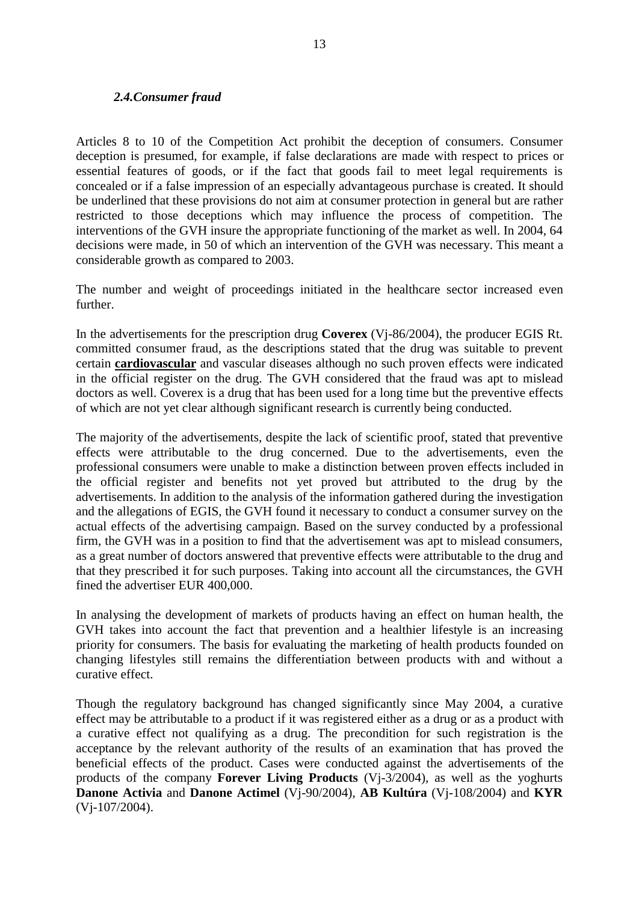#### *2.4.Consumer fraud*

Articles 8 to 10 of the Competition Act prohibit the deception of consumers. Consumer deception is presumed, for example, if false declarations are made with respect to prices or essential features of goods, or if the fact that goods fail to meet legal requirements is concealed or if a false impression of an especially advantageous purchase is created. It should be underlined that these provisions do not aim at consumer protection in general but are rather restricted to those deceptions which may influence the process of competition. The interventions of the GVH insure the appropriate functioning of the market as well. In 2004, 64 decisions were made, in 50 of which an intervention of the GVH was necessary. This meant a considerable growth as compared to 2003.

The number and weight of proceedings initiated in the healthcare sector increased even further.

In the advertisements for the prescription drug **Coverex** (Vj-86/2004), the producer EGIS Rt. committed consumer fraud, as the descriptions stated that the drug was suitable to prevent certain **cardiovascular** and vascular diseases although no such proven effects were indicated in the official register on the drug. The GVH considered that the fraud was apt to mislead doctors as well. Coverex is a drug that has been used for a long time but the preventive effects of which are not yet clear although significant research is currently being conducted.

The majority of the advertisements, despite the lack of scientific proof, stated that preventive effects were attributable to the drug concerned. Due to the advertisements, even the professional consumers were unable to make a distinction between proven effects included in the official register and benefits not yet proved but attributed to the drug by the advertisements. In addition to the analysis of the information gathered during the investigation and the allegations of EGIS, the GVH found it necessary to conduct a consumer survey on the actual effects of the advertising campaign. Based on the survey conducted by a professional firm, the GVH was in a position to find that the advertisement was apt to mislead consumers, as a great number of doctors answered that preventive effects were attributable to the drug and that they prescribed it for such purposes. Taking into account all the circumstances, the GVH fined the advertiser EUR 400,000.

In analysing the development of markets of products having an effect on human health, the GVH takes into account the fact that prevention and a healthier lifestyle is an increasing priority for consumers. The basis for evaluating the marketing of health products founded on changing lifestyles still remains the differentiation between products with and without a curative effect.

Though the regulatory background has changed significantly since May 2004, a curative effect may be attributable to a product if it was registered either as a drug or as a product with a curative effect not qualifying as a drug. The precondition for such registration is the acceptance by the relevant authority of the results of an examination that has proved the beneficial effects of the product. Cases were conducted against the advertisements of the products of the company **Forever Living Products** (Vj-3/2004), as well as the yoghurts **Danone Activia** and **Danone Actimel** (Vj-90/2004), **AB Kultúra** (Vj-108/2004) and **KYR**  (Vj-107/2004).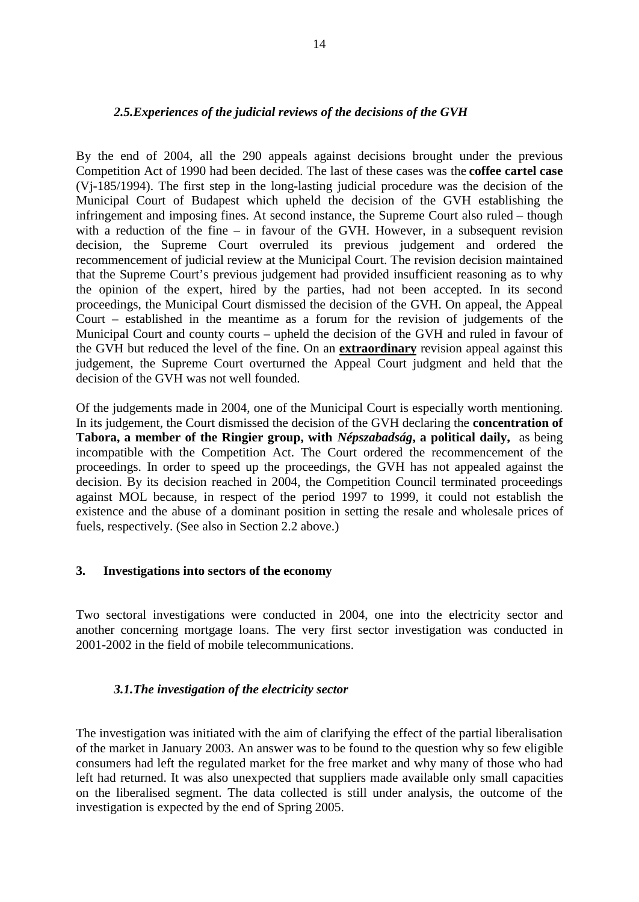### *2.5.Experiences of the judicial reviews of the decisions of the GVH*

By the end of 2004, all the 290 appeals against decisions brought under the previous Competition Act of 1990 had been decided. The last of these cases was the **coffee cartel case** (Vj-185/1994). The first step in the long-lasting judicial procedure was the decision of the Municipal Court of Budapest which upheld the decision of the GVH establishing the infringement and imposing fines. At second instance, the Supreme Court also ruled – though with a reduction of the fine – in favour of the GVH. However, in a subsequent revision decision, the Supreme Court overruled its previous judgement and ordered the recommencement of judicial review at the Municipal Court. The revision decision maintained that the Supreme Court's previous judgement had provided insufficient reasoning as to why the opinion of the expert, hired by the parties, had not been accepted. In its second proceedings, the Municipal Court dismissed the decision of the GVH. On appeal, the Appeal Court – established in the meantime as a forum for the revision of judgements of the Municipal Court and county courts – upheld the decision of the GVH and ruled in favour of the GVH but reduced the level of the fine. On an **extraordinary** revision appeal against this judgement, the Supreme Court overturned the Appeal Court judgment and held that the decision of the GVH was not well founded.

Of the judgements made in 2004, one of the Municipal Court is especially worth mentioning. In its judgement, the Court dismissed the decision of the GVH declaring the **concentration of Tabora, a member of the Ringier group, with** *Népszabadság***, a political daily,** as being incompatible with the Competition Act. The Court ordered the recommencement of the proceedings. In order to speed up the proceedings, the GVH has not appealed against the decision. By its decision reached in 2004, the Competition Council terminated proceedings against MOL because, in respect of the period 1997 to 1999, it could not establish the existence and the abuse of a dominant position in setting the resale and wholesale prices of fuels, respectively. (See also in Section 2.2 above.)

#### **3. Investigations into sectors of the economy**

Two sectoral investigations were conducted in 2004, one into the electricity sector and another concerning mortgage loans. The very first sector investigation was conducted in 2001-2002 in the field of mobile telecommunications.

## *3.1.The investigation of the electricity sector*

The investigation was initiated with the aim of clarifying the effect of the partial liberalisation of the market in January 2003. An answer was to be found to the question why so few eligible consumers had left the regulated market for the free market and why many of those who had left had returned. It was also unexpected that suppliers made available only small capacities on the liberalised segment. The data collected is still under analysis, the outcome of the investigation is expected by the end of Spring 2005.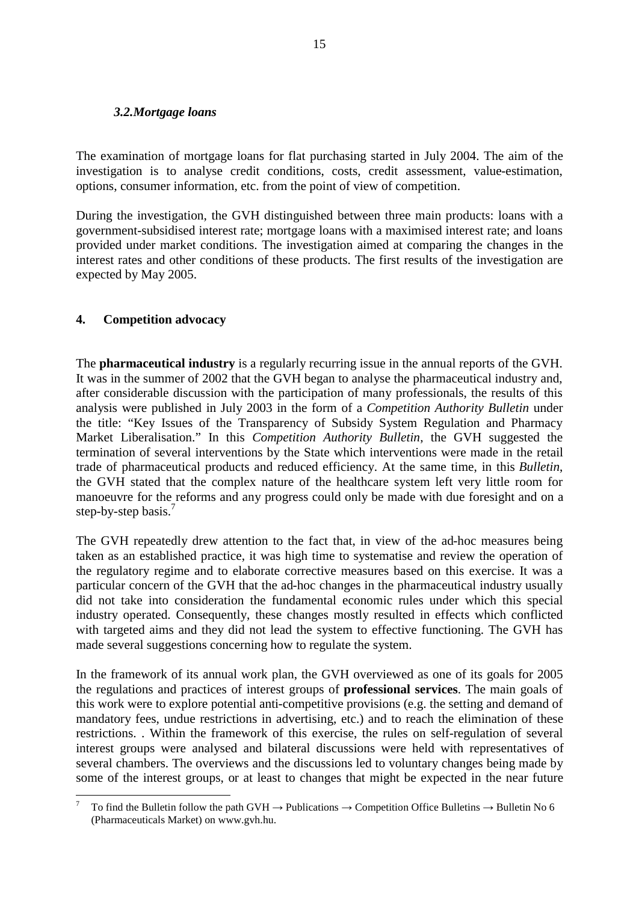#### *3.2.Mortgage loans*

The examination of mortgage loans for flat purchasing started in July 2004. The aim of the investigation is to analyse credit conditions, costs, credit assessment, value-estimation, options, consumer information, etc. from the point of view of competition.

During the investigation, the GVH distinguished between three main products: loans with a government-subsidised interest rate; mortgage loans with a maximised interest rate; and loans provided under market conditions. The investigation aimed at comparing the changes in the interest rates and other conditions of these products. The first results of the investigation are expected by May 2005.

## **4. Competition advocacy**

 $\overline{a}$ 

The **pharmaceutical industry** is a regularly recurring issue in the annual reports of the GVH. It was in the summer of 2002 that the GVH began to analyse the pharmaceutical industry and, after considerable discussion with the participation of many professionals, the results of this analysis were published in July 2003 in the form of a *Competition Authority Bulletin* under the title: "Key Issues of the Transparency of Subsidy System Regulation and Pharmacy Market Liberalisation." In this *Competition Authority Bulletin*, the GVH suggested the termination of several interventions by the State which interventions were made in the retail trade of pharmaceutical products and reduced efficiency. At the same time, in this *Bulletin*, the GVH stated that the complex nature of the healthcare system left very little room for manoeuvre for the reforms and any progress could only be made with due foresight and on a step-by-step basis.<sup>7</sup>

The GVH repeatedly drew attention to the fact that, in view of the ad-hoc measures being taken as an established practice, it was high time to systematise and review the operation of the regulatory regime and to elaborate corrective measures based on this exercise. It was a particular concern of the GVH that the ad-hoc changes in the pharmaceutical industry usually did not take into consideration the fundamental economic rules under which this special industry operated. Consequently, these changes mostly resulted in effects which conflicted with targeted aims and they did not lead the system to effective functioning. The GVH has made several suggestions concerning how to regulate the system.

In the framework of its annual work plan, the GVH overviewed as one of its goals for 2005 the regulations and practices of interest groups of **professional services**. The main goals of this work were to explore potential anti-competitive provisions (e.g. the setting and demand of mandatory fees, undue restrictions in advertising, etc.) and to reach the elimination of these restrictions. . Within the framework of this exercise, the rules on self-regulation of several interest groups were analysed and bilateral discussions were held with representatives of several chambers. The overviews and the discussions led to voluntary changes being made by some of the interest groups, or at least to changes that might be expected in the near future

To find the Bulletin follow the path GVH  $\rightarrow$  Publications  $\rightarrow$  Competition Office Bulletins  $\rightarrow$  Bulletin No 6 (Pharmaceuticals Market) on www.gvh.hu.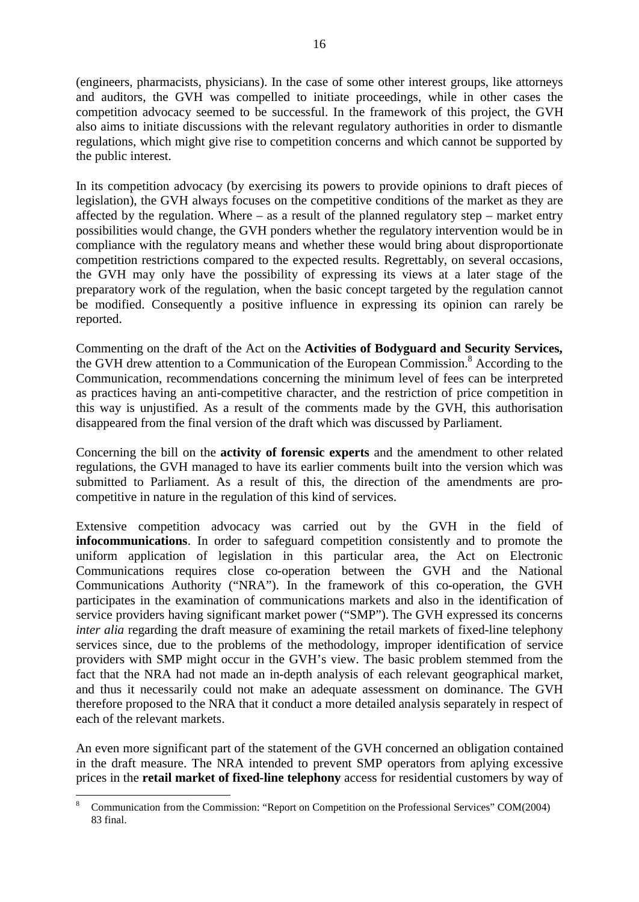(engineers, pharmacists, physicians). In the case of some other interest groups, like attorneys and auditors, the GVH was compelled to initiate proceedings, while in other cases the competition advocacy seemed to be successful. In the framework of this project, the GVH also aims to initiate discussions with the relevant regulatory authorities in order to dismantle regulations, which might give rise to competition concerns and which cannot be supported by the public interest.

In its competition advocacy (by exercising its powers to provide opinions to draft pieces of legislation), the GVH always focuses on the competitive conditions of the market as they are affected by the regulation. Where  $-$  as a result of the planned regulatory step  $-$  market entry possibilities would change, the GVH ponders whether the regulatory intervention would be in compliance with the regulatory means and whether these would bring about disproportionate competition restrictions compared to the expected results. Regrettably, on several occasions, the GVH may only have the possibility of expressing its views at a later stage of the preparatory work of the regulation, when the basic concept targeted by the regulation cannot be modified. Consequently a positive influence in expressing its opinion can rarely be reported.

Commenting on the draft of the Act on the **Activities of Bodyguard and Security Services,** the GVH drew attention to a Communication of the European Commission.<sup>8</sup> According to the Communication, recommendations concerning the minimum level of fees can be interpreted as practices having an anti-competitive character, and the restriction of price competition in this way is unjustified. As a result of the comments made by the GVH, this authorisation disappeared from the final version of the draft which was discussed by Parliament.

Concerning the bill on the **activity of forensic experts** and the amendment to other related regulations, the GVH managed to have its earlier comments built into the version which was submitted to Parliament. As a result of this, the direction of the amendments are procompetitive in nature in the regulation of this kind of services.

Extensive competition advocacy was carried out by the GVH in the field of **infocommunications**. In order to safeguard competition consistently and to promote the uniform application of legislation in this particular area, the Act on Electronic Communications requires close co-operation between the GVH and the National Communications Authority ("NRA"). In the framework of this co-operation, the GVH participates in the examination of communications markets and also in the identification of service providers having significant market power ("SMP"). The GVH expressed its concerns *inter alia* regarding the draft measure of examining the retail markets of fixed-line telephony services since, due to the problems of the methodology, improper identification of service providers with SMP might occur in the GVH's view. The basic problem stemmed from the fact that the NRA had not made an in-depth analysis of each relevant geographical market, and thus it necessarily could not make an adequate assessment on dominance. The GVH therefore proposed to the NRA that it conduct a more detailed analysis separately in respect of each of the relevant markets.

An even more significant part of the statement of the GVH concerned an obligation contained in the draft measure. The NRA intended to prevent SMP operators from aplying excessive prices in the **retail market of fixed-line telephony** access for residential customers by way of

<sup>8</sup> Communication from the Commission: "Report on Competition on the Professional Services" COM(2004) 83 final.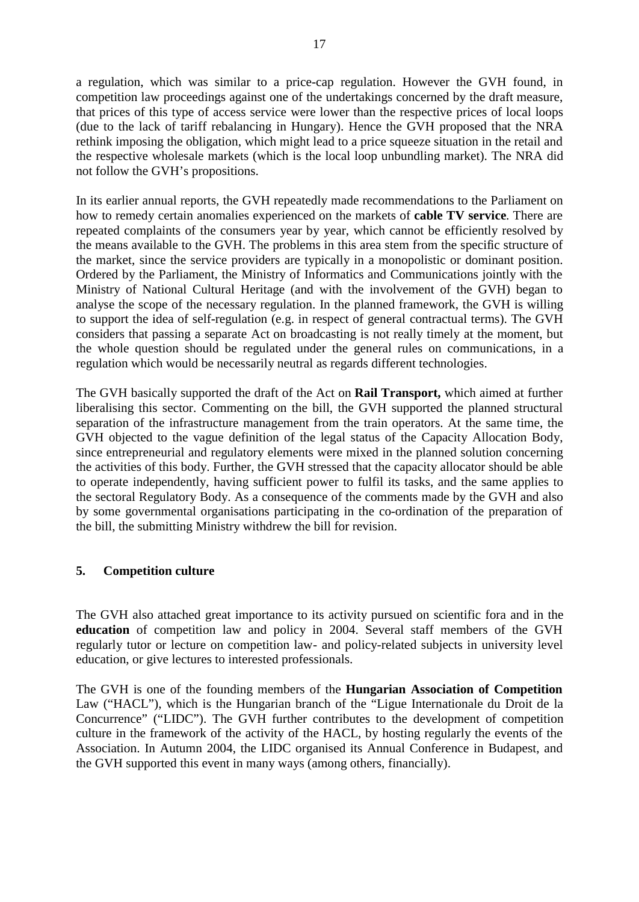a regulation, which was similar to a price-cap regulation. However the GVH found, in competition law proceedings against one of the undertakings concerned by the draft measure, that prices of this type of access service were lower than the respective prices of local loops (due to the lack of tariff rebalancing in Hungary). Hence the GVH proposed that the NRA rethink imposing the obligation, which might lead to a price squeeze situation in the retail and the respective wholesale markets (which is the local loop unbundling market). The NRA did not follow the GVH's propositions.

In its earlier annual reports, the GVH repeatedly made recommendations to the Parliament on how to remedy certain anomalies experienced on the markets of **cable TV service**. There are repeated complaints of the consumers year by year, which cannot be efficiently resolved by the means available to the GVH. The problems in this area stem from the specific structure of the market, since the service providers are typically in a monopolistic or dominant position. Ordered by the Parliament, the Ministry of Informatics and Communications jointly with the Ministry of National Cultural Heritage (and with the involvement of the GVH) began to analyse the scope of the necessary regulation. In the planned framework, the GVH is willing to support the idea of self-regulation (e.g. in respect of general contractual terms). The GVH considers that passing a separate Act on broadcasting is not really timely at the moment, but the whole question should be regulated under the general rules on communications, in a regulation which would be necessarily neutral as regards different technologies.

The GVH basically supported the draft of the Act on **Rail Transport,** which aimed at further liberalising this sector. Commenting on the bill, the GVH supported the planned structural separation of the infrastructure management from the train operators. At the same time, the GVH objected to the vague definition of the legal status of the Capacity Allocation Body, since entrepreneurial and regulatory elements were mixed in the planned solution concerning the activities of this body. Further, the GVH stressed that the capacity allocator should be able to operate independently, having sufficient power to fulfil its tasks, and the same applies to the sectoral Regulatory Body. As a consequence of the comments made by the GVH and also by some governmental organisations participating in the co-ordination of the preparation of the bill, the submitting Ministry withdrew the bill for revision.

# **5. Competition culture**

The GVH also attached great importance to its activity pursued on scientific fora and in the **education** of competition law and policy in 2004. Several staff members of the GVH regularly tutor or lecture on competition law- and policy-related subjects in university level education, or give lectures to interested professionals.

The GVH is one of the founding members of the **Hungarian Association of Competition**  Law ("HACL"), which is the Hungarian branch of the "Ligue Internationale du Droit de la Concurrence" ("LIDC"). The GVH further contributes to the development of competition culture in the framework of the activity of the HACL, by hosting regularly the events of the Association. In Autumn 2004, the LIDC organised its Annual Conference in Budapest, and the GVH supported this event in many ways (among others, financially).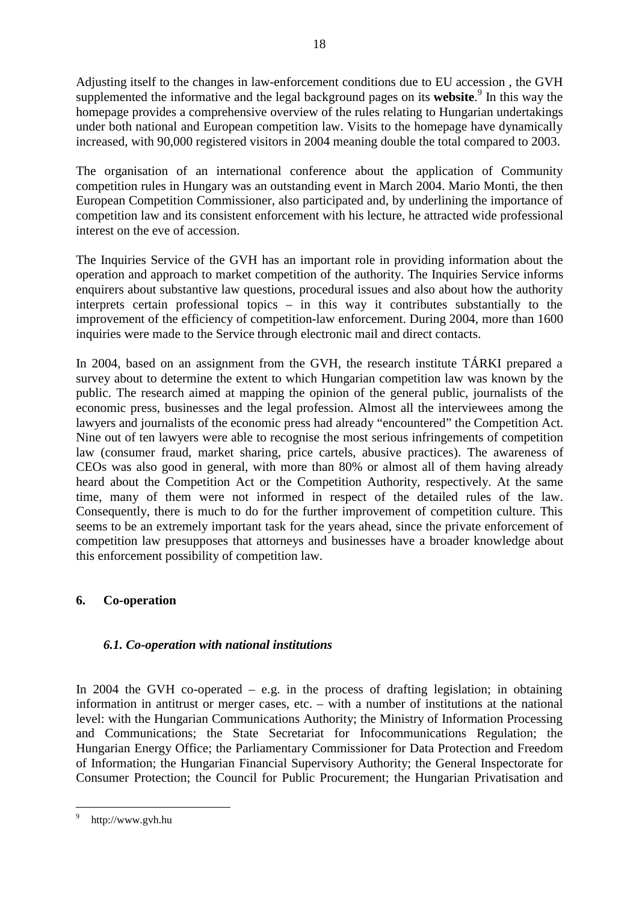Adjusting itself to the changes in law-enforcement conditions due to EU accession , the GVH supplemented the informative and the legal background pages on its **website**. 9 In this way the homepage provides a comprehensive overview of the rules relating to Hungarian undertakings under both national and European competition law. Visits to the homepage have dynamically increased, with 90,000 registered visitors in 2004 meaning double the total compared to 2003.

18

The organisation of an international conference about the application of Community competition rules in Hungary was an outstanding event in March 2004. Mario Monti, the then European Competition Commissioner, also participated and, by underlining the importance of competition law and its consistent enforcement with his lecture, he attracted wide professional interest on the eve of accession.

The Inquiries Service of the GVH has an important role in providing information about the operation and approach to market competition of the authority. The Inquiries Service informs enquirers about substantive law questions, procedural issues and also about how the authority interprets certain professional topics – in this way it contributes substantially to the improvement of the efficiency of competition-law enforcement. During 2004, more than 1600 inquiries were made to the Service through electronic mail and direct contacts.

In 2004, based on an assignment from the GVH, the research institute TÁRKI prepared a survey about to determine the extent to which Hungarian competition law was known by the public. The research aimed at mapping the opinion of the general public, journalists of the economic press, businesses and the legal profession. Almost all the interviewees among the lawyers and journalists of the economic press had already "encountered" the Competition Act. Nine out of ten lawyers were able to recognise the most serious infringements of competition law (consumer fraud, market sharing, price cartels, abusive practices). The awareness of CEOs was also good in general, with more than 80% or almost all of them having already heard about the Competition Act or the Competition Authority, respectively. At the same time, many of them were not informed in respect of the detailed rules of the law. Consequently, there is much to do for the further improvement of competition culture. This seems to be an extremely important task for the years ahead, since the private enforcement of competition law presupposes that attorneys and businesses have a broader knowledge about this enforcement possibility of competition law.

# **6. Co-operation**

# *6.1. Co-operation with national institutions*

In 2004 the GVH co-operated  $-$  e.g. in the process of drafting legislation; in obtaining information in antitrust or merger cases, etc. – with a number of institutions at the national level: with the Hungarian Communications Authority; the Ministry of Information Processing and Communications; the State Secretariat for Infocommunications Regulation; the Hungarian Energy Office; the Parliamentary Commissioner for Data Protection and Freedom of Information; the Hungarian Financial Supervisory Authority; the General Inspectorate for Consumer Protection; the Council for Public Procurement; the Hungarian Privatisation and

 $\overline{a}$ 9 http://www.gvh.hu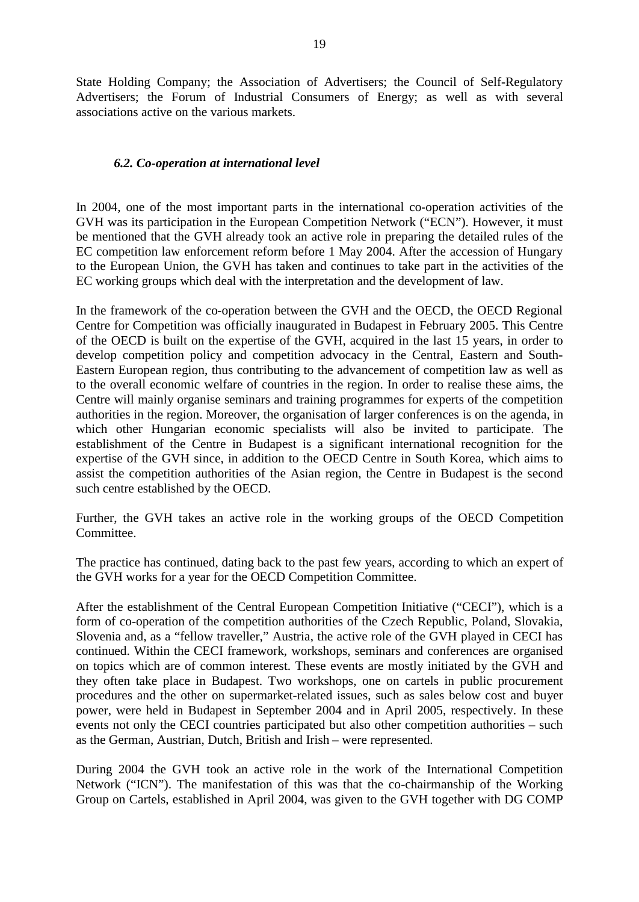State Holding Company; the Association of Advertisers; the Council of Self-Regulatory Advertisers; the Forum of Industrial Consumers of Energy; as well as with several associations active on the various markets.

## *6.2. Co-operation at international level*

In 2004, one of the most important parts in the international co-operation activities of the GVH was its participation in the European Competition Network ("ECN"). However, it must be mentioned that the GVH already took an active role in preparing the detailed rules of the EC competition law enforcement reform before 1 May 2004. After the accession of Hungary to the European Union, the GVH has taken and continues to take part in the activities of the EC working groups which deal with the interpretation and the development of law.

In the framework of the co-operation between the GVH and the OECD, the OECD Regional Centre for Competition was officially inaugurated in Budapest in February 2005. This Centre of the OECD is built on the expertise of the GVH, acquired in the last 15 years, in order to develop competition policy and competition advocacy in the Central, Eastern and South-Eastern European region, thus contributing to the advancement of competition law as well as to the overall economic welfare of countries in the region. In order to realise these aims, the Centre will mainly organise seminars and training programmes for experts of the competition authorities in the region. Moreover, the organisation of larger conferences is on the agenda, in which other Hungarian economic specialists will also be invited to participate. The establishment of the Centre in Budapest is a significant international recognition for the expertise of the GVH since, in addition to the OECD Centre in South Korea, which aims to assist the competition authorities of the Asian region, the Centre in Budapest is the second such centre established by the OECD.

Further, the GVH takes an active role in the working groups of the OECD Competition Committee.

The practice has continued, dating back to the past few years, according to which an expert of the GVH works for a year for the OECD Competition Committee.

After the establishment of the Central European Competition Initiative ("CECI"), which is a form of co-operation of the competition authorities of the Czech Republic, Poland, Slovakia, Slovenia and, as a "fellow traveller," Austria, the active role of the GVH played in CECI has continued. Within the CECI framework, workshops, seminars and conferences are organised on topics which are of common interest. These events are mostly initiated by the GVH and they often take place in Budapest. Two workshops, one on cartels in public procurement procedures and the other on supermarket-related issues, such as sales below cost and buyer power, were held in Budapest in September 2004 and in April 2005, respectively. In these events not only the CECI countries participated but also other competition authorities – such as the German, Austrian, Dutch, British and Irish – were represented.

During 2004 the GVH took an active role in the work of the International Competition Network ("ICN"). The manifestation of this was that the co-chairmanship of the Working Group on Cartels, established in April 2004, was given to the GVH together with DG COMP